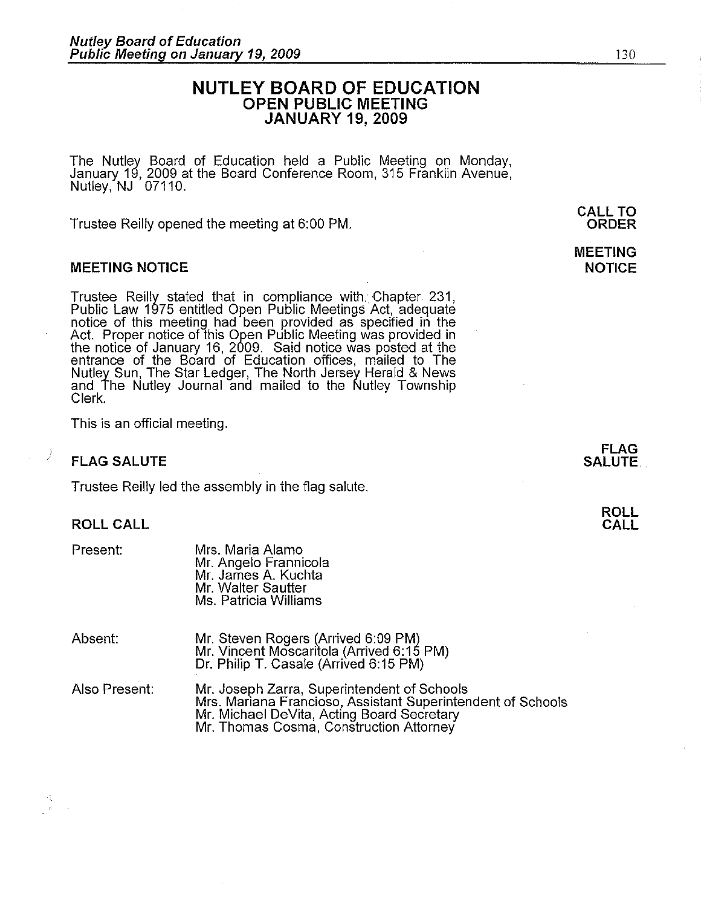# **NUTLEY BOARD** OF EDUCATION OPEN PUBLIC MEETING JANUARY 19, 2009

The Nutley Board of Education held a Public Meeting on Monday, January 19, 2009 at the Board Conference Room, 315 Franklin Avenue, Nutley, NJ 07110.

Trustee Reilly opened the meeting at 6:00 PM.

### MEETING NOTICE

Trustee Reilly stated that in compliance with Chapter 231, Public Law 1975 entitled Open Public Meetings Act, adequate notice of this meeting had been provided as specified in the Act. Proper notice of this Open Public Meeting was provided in the notice of January 16, 2009. Said notice was posted at the entrance of the Board of Education offices, mailed to The Nutley Sun, The Star Ledger, The North Jersey Herald & News and The Nutley Journal and mailed to the Nutley Township Clerk.

This is an official meeting.

## FLAG SALUTE

Trustee Reilly led the assembly in the flag salute.

### ROLL CALL

Present:

)

Mrs. Maria Alamo Mr. Angelo Frannicola Mr. James A. Kuchta Mr. Walter Sautter Ms. Patricia Williams

| Absent:       | Mr. Steven Rogers (Arrived 6:09 PM)<br>Mr. Vincent Moscaritola (Arrived 6:15 PM)<br>Dr. Philip T. Casale (Arrived 6:15 PM) |  |
|---------------|----------------------------------------------------------------------------------------------------------------------------|--|
| Also Present: | Mr. Joseph Zarra, Superintendent of Schools                                                                                |  |

Mrs. Mariana Francioso, Assistant Superintendent of Schools Mr. Michael DeVita, Acting Board Secretary Mr. Thomas Cosma, Construction Attorney

FLAG SALUTE.

MEETING **NOTICE**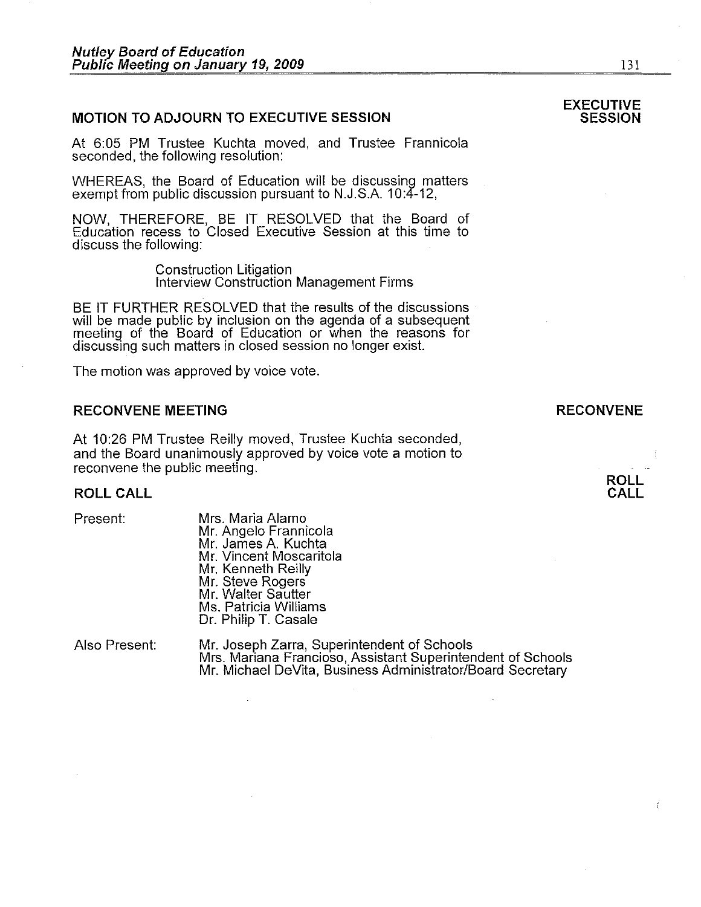## **MOTION TO ADJOURN TO EXECUTIVE SESSION**

At 6:05 PM Trustee Kuchta moved, and Trustee Frannicola seconded, the following resolution:

WHEREAS, the Board of Education will be discussing matters exempt from public discussion pursuant to N.J.S.A. 10:4-12,

NOW, THEREFORE, BE IT RESOLVED that the Board of Education recess to Closed Executive Session at this time to discuss the following:

Construction Litigation<br>Interview Construction Management Firms

BE IT FURTHER RESOLVED that the results of the discussions will be made public by inclusion on the agenda of a subsequent meeting of the Board of Education or when the reasons for discussing such matters in closed session no longer exist.

The motion was approved by voice vote.

#### **RECONVENE MEETING**

At 10:26 PM Trustee Reilly moved, Trustee Kuchta seconded, and the Board unanimously approved by voice vote a motion to reconvene the public meeting.

#### **ROLLCALL**

| Present:         | Mrs. Maria Alamo<br>Mr. Angelo Frannicola<br>Mr. James A. Kuchta<br>Mr. Vincent Moscaritola<br>Mr. Kenneth Reilly<br>Mr. Steve Rogers<br>Mr. Walter Sautter<br>Ms. Patricia Williams<br>Dr. Philip T. Casale |
|------------------|--------------------------------------------------------------------------------------------------------------------------------------------------------------------------------------------------------------|
| $A$ laa Draaanti | Mr. Loopph Zarra, Cunorintond                                                                                                                                                                                |

Also Present: Mr. Joseph Zarra, Superintendent of Schools Mrs. Mariana Francioso, Assistant Superintendent of Schools Mr. Michael DeVita, Business Administrator/Board Secretary

## **RECONVENE**

**ROLL CALL** 

131